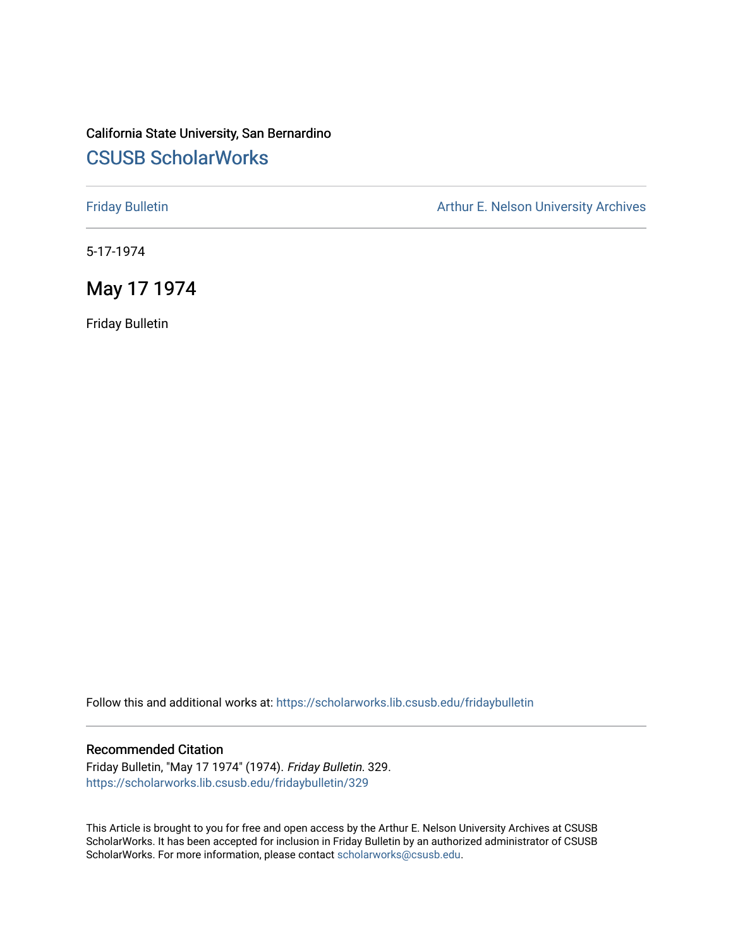## California State University, San Bernardino [CSUSB ScholarWorks](https://scholarworks.lib.csusb.edu/)

[Friday Bulletin](https://scholarworks.lib.csusb.edu/fridaybulletin) **Arthur E. Nelson University Archives** Arthur E. Nelson University Archives

5-17-1974

## May 17 1974

Friday Bulletin

Follow this and additional works at: [https://scholarworks.lib.csusb.edu/fridaybulletin](https://scholarworks.lib.csusb.edu/fridaybulletin?utm_source=scholarworks.lib.csusb.edu%2Ffridaybulletin%2F329&utm_medium=PDF&utm_campaign=PDFCoverPages)

### Recommended Citation

Friday Bulletin, "May 17 1974" (1974). Friday Bulletin. 329. [https://scholarworks.lib.csusb.edu/fridaybulletin/329](https://scholarworks.lib.csusb.edu/fridaybulletin/329?utm_source=scholarworks.lib.csusb.edu%2Ffridaybulletin%2F329&utm_medium=PDF&utm_campaign=PDFCoverPages)

This Article is brought to you for free and open access by the Arthur E. Nelson University Archives at CSUSB ScholarWorks. It has been accepted for inclusion in Friday Bulletin by an authorized administrator of CSUSB ScholarWorks. For more information, please contact [scholarworks@csusb.edu.](mailto:scholarworks@csusb.edu)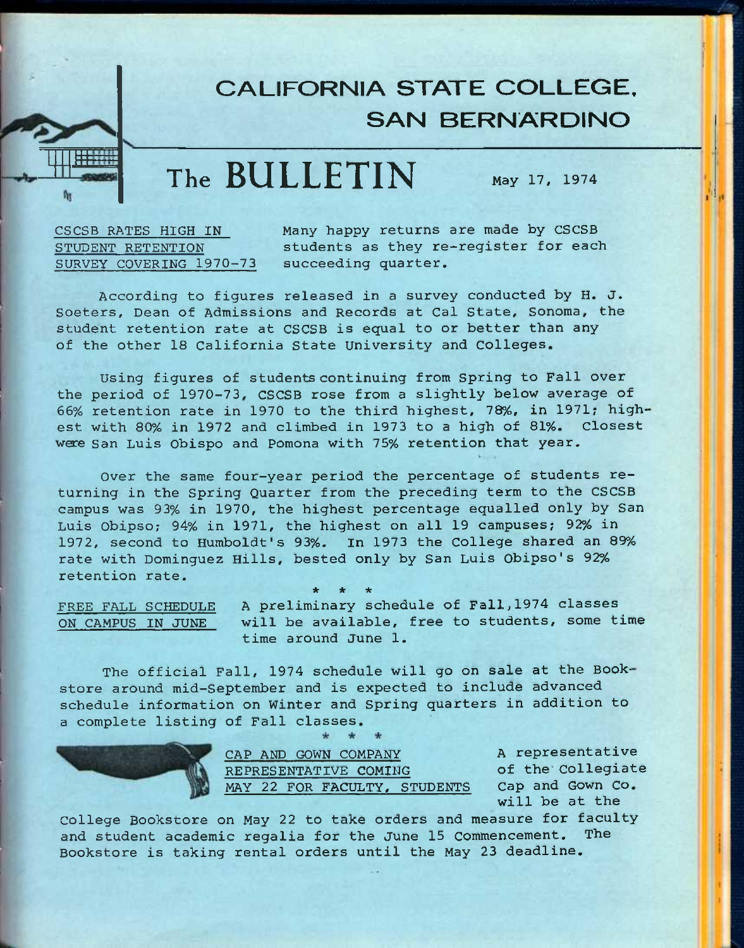## **CALIFORNIA STATE COLLEGE, SAN BERNARDINO**

## **The BULLETIN** May 17, 1974

CSCSB RATES HIGH IN STUDENT RETENTION SURVEY COVERING 1970-73

**1:1:1:**<br>Eilen

Many happy returns are made by CSCSB students as they re-register for each succeeding quarter.

According to figures released in a survey conducted by H. J. Soeters, Dean of Admissions and Records at Cal State, Sonoma, the student retention rate at CSCSB is equal to or better than any of the other 18 California State University and Colleges.

Using figures of students continuing from Spring to Fall over the period of 1970-73, CSCSB rose from a slightly below average of 66% retention rate in 1970 to the third highest, 78%, in 1971; highest with 80% in 1972 and climbed in 1973 to a high of 81%. Closest were San Luis Obispo and Pomona with 75% retention that year.

Over the same four-year period the percentage of students returning in the Spring Quarter from the preceding term to the CSCSB campus was 93% in 1970, the highest percentage equalled only by San Luis Obipso; 94% in 1971, the highest on all 19 campuses; 92% in 1972, second to Humboldt's 93%. In 1973 the College shared an 89% rate with Dominguez Hills, bested only by San Luis Obipso's 92% retention rate.

**\* \* \*** 

FREE FALL SCHEDULE ON CAMPUS IN JUNE

A preliminary schedule of Fall,1974 classes will be available, free to students, some time time around June 1.

The official Fall, 1974 schedule will go on sale at the Bookstore around mid-September and is expected to include advanced schedule information on Winter and Spring quarters in addition to a complete listing of Fall classes.



CAP AND GOWN COMPANY REPRESENTATIVE COMING MAY 22 FOR FACULTY, STUDENTS

A representative of the Collegiate Cap and Gown Co. will be at the

College Bookstore on May 22 to take orders and measure for faculty and student academic regalia for the June 15 commencement. The Bookstore is taking rental orders until the May 23 deadline.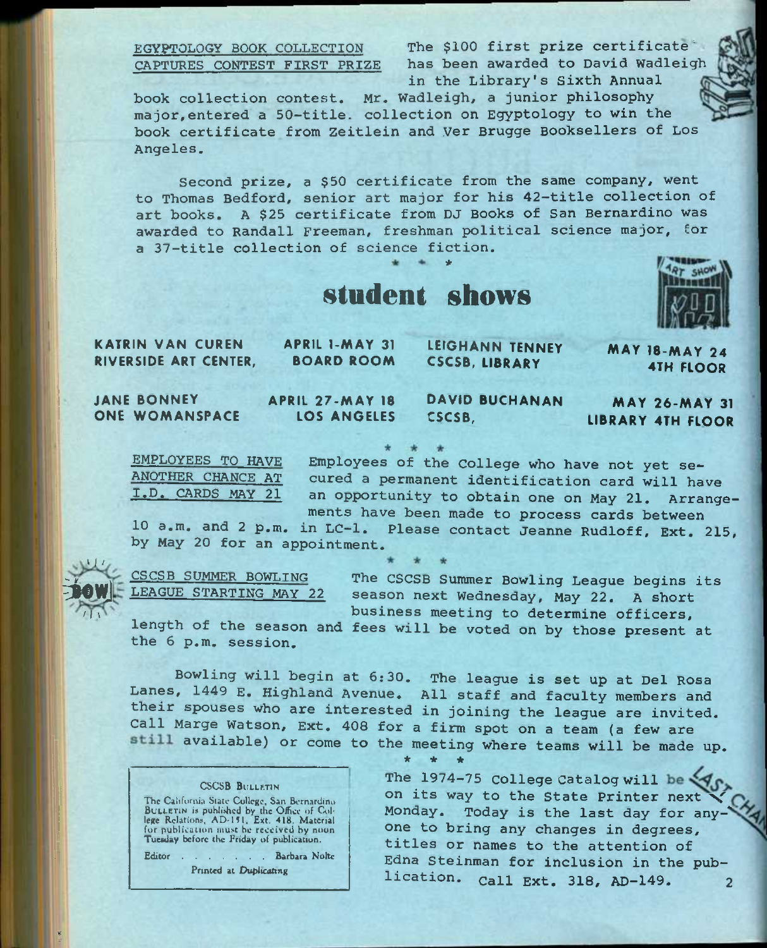EGYPTOLOGY BOOK COLLECTION The \$100 first prize certificate\* CAPTURES CONTEST FIRST PRIZE has been awarded to David Wadleigh in the Library's sixth Annual

book collection contest, Mr. Wadleigh, a junior philosophy major,entered a 50-title. collection on Egyptology to win the book certificate from Zeitlein and Ver Brugge Booksellers of Los Angeles.

Second prize, a \$50 certificate from the same company, went to Thomas Bedford, senior art major for his 42~title collection of art books. A \$25 certificate from DJ Books of San Bernardino was awarded to Randall Freeman, freshman political science major, for a 37-title collection of science fiction. \*





KATRIN VAN CUREN RIVERSIDE ART CENTER, APRIL l-MAY 31 BOARD ROOM LEIGHANN TENNEY CSCSB, LIBRARY MAY 18-MAY 24 4TH FLOOR

JANE BONNEY ONE WOMANSPACE

 $^{\prime}$  J  $^{\prime}$  / Fow]

 $\sqrt{11}$ 

\* *i* 

APRIL 27-MAY 18 LOS ANGELES

DAVID BUCHANAN CSCSB,

MAY 26-MAY 31 LIBRARY 4TH FLOOR

EMPLOYEES TO HAVE Employees of the College who have not yet se-<br>ANOTHER CHANCE AT cured a permanent identification gard will bay ANOTHER CHANCE AT cured a permanent identification card will have<br>I.D. CARDS MAY 21 an opportunity to obtain one on May 21 Arrange an opportunity to obtain one on May 21. Arrangements have been made to process cards between

10 a.m. and 2 p.m. in LC-1. Please contact Jeanne Rudloff, Ext. 215, by May 20 for an appointment.

CSCSB SUMMER BOWLING LEAGUE STARTING MAY 22

The CSCSB Summer Bowling League begins its season next Wednesday, May 22. A short business meeting to determine officers,

length of the season and fees will be voted on by those present at the 6 p.m. session.

Bowling will begin at 6:30. The league is set up at Del Rosa Lanes, 1449 E. Highland Avenue, All staff and faculty members and their spouses who are interested in joining the league are invited. Call Marge Watson, Ext. 408 for a firm spot on a team (a few are available) or come to the meeting where teams will be made up.

**\* \* \*** 

### CSCSB BULLF.TIN

The California State College, San Bernardino<br>BULLETIN is puhlished by the Office of College Relations, AD-151, Ext. 418. Material for publication must be received by noon. Tueeday before the Friday of publication.

Editor . . . . . . Barbara Noltc Printed at Duplicating

The 1974-75 College Catalog will be on its way to the State Printer next Monday. Today is the last day for any-' one to bring any changes in degrees, titles or names to the attention of Edna Steinman for inclusion in the publication. Call Ext. 318, AD-149. 2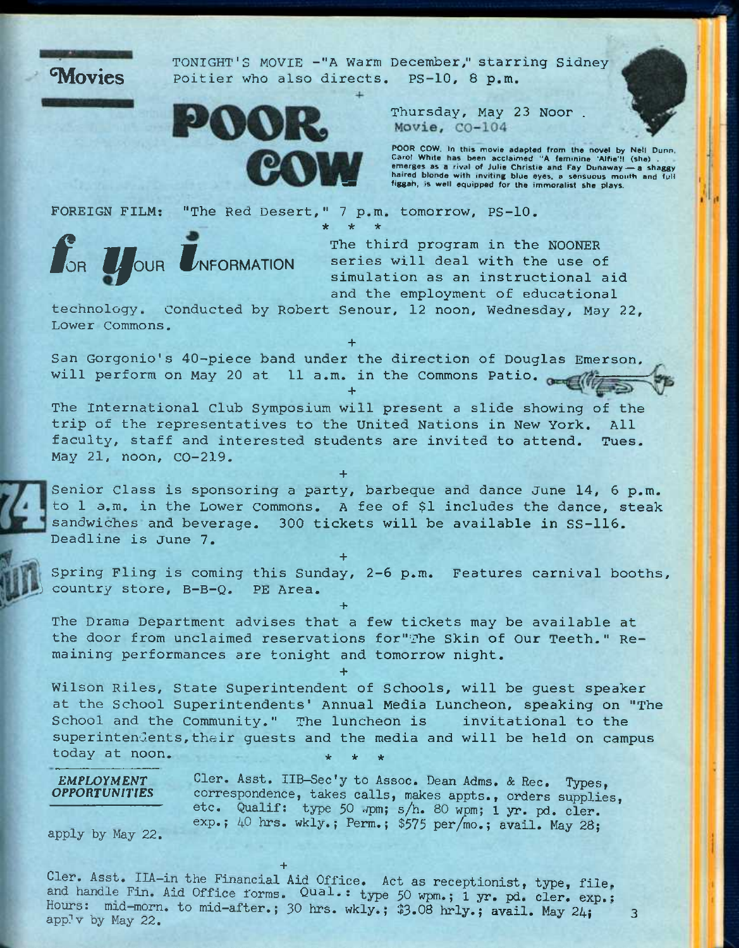

TONIGHT'S MOVIE -"A Warm December," starring Sidney Poitier who also directs. PS-10, 8 p.m.



Thursday, May 23 Noor . Movie, CO-104

POOR COW. In this movie adapted from the novel by Net! Dunn, Carol White has been acclaimed "A feminine 'Alfie'l! (she) . emerges as a rival of Julie Christie and Fay Dunaway~a shaggy haired blonde with inviting blue eyes, a sensuous month and full figgah, is well equipped for the immoralist she plays.

FOREIGN FILM: "The Red Desert," 7 p.m. tomorrow, PS-10, **\* \* \*** 



The third program in the NOONER series will deal with the use of simulation as an instructional aid and the employment of educational

technology. Conducted by Robert Senour, 12 noon, Wednesday, May 22, Lower Commons.

**+**  San Gorgonio's 40-piece band under the direction of Douglas Emerson, will perform on May 20 at 11 a.m. in the Commons Patio.

**+** 

The International club Symposium will present a slide showing of the trip of the representatives to the United Nations in New York. All faculty, staff and interested students are invited to attend. Tues. May 21, noon, CO-219.

**+** 

Senior Class is sponsoring a party, barbeque and dance June 14, 6 p.m. to 1 a.m. in the Lower commons. A fee of \$1 includes the dance, steak sandwiches and beverage. 300 tickets will be available in SS-116. Deadline is June 7.

Spring Fling is coming this Sunday, 2-6 p.m. Features carnival booths, ) country store, B-B-Q. PE Area.

**+** 

**+**  The Drama Department advises that a few tickets may be available at the door from unclaimed reservations for"The Skin of Our Teeth." Remaining performances are tonight and tomorrow night.

**+** 

Wilson Riles, State Superintendent of Schools, will be guest speaker at the School Superintendents' Annual Media Luncheon, speaking on "The School and the Community." The luncheon is invitational to the superintendents, their guests and the media and will be held on campus today at noon.

 $EMPLOYMENT$ *OPPORTUNiriES*  Cler. Asst. IIB-Sec'y to Assoc. Dean Adms, & Rec. Types, correspondence, takes calls, makes appts., orders supplies, etc. Qualif: type 50 wpm; s/h. 80 wpm; 1 yr. pd. cler. exp.;  $40$  hrs. wkly.; Perm.; \$575 per/mo.; avail. May 28;

apply by May 22.

Cler, Asst. IIA-in the Financial Aid Office. Act as receptionist, type, fileand handle Fin. Aid Office forms. Qual.: type 50 wpm.; 1 yr. pd. cler. exp.: Hours: mid-morn. to mid-after.; 30 hrs. wkly.;  $33.08$  hrly.; avail. May  $24$ ; 3<br>app<sup>1</sup>v by May 22.

**+**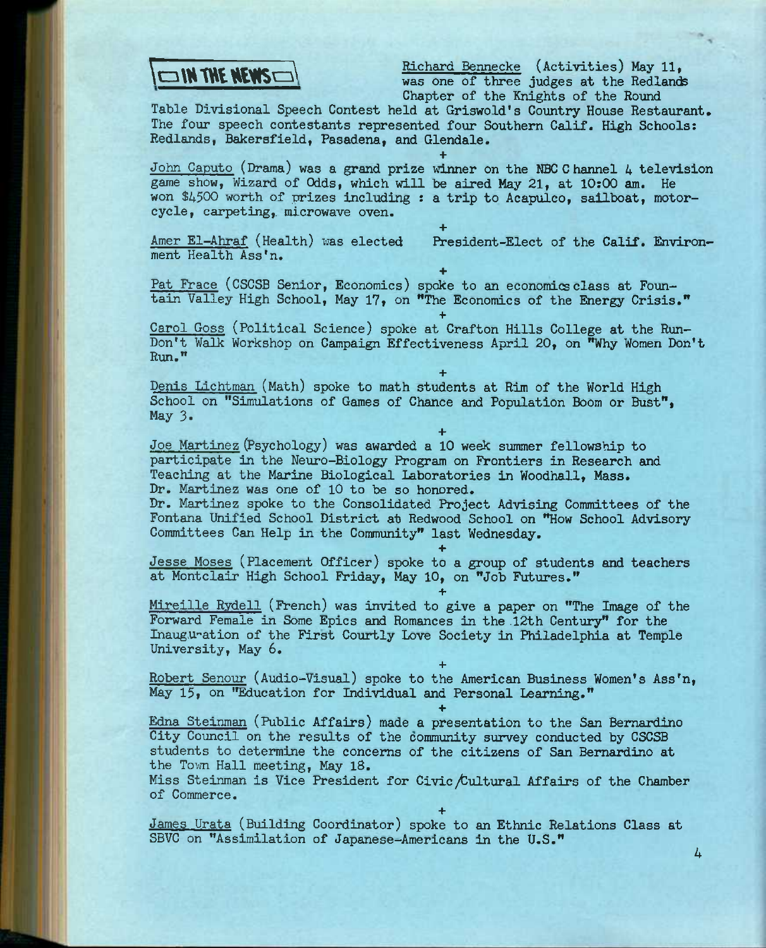

Richard Bennecke (Activities) May 11, was one of three jvidges at the Redlands Chapter of the Knights of the Round

Table Divisional Speech Contest held at Griswold's Country House Restaurant. The four speech contestants represented four Southern Calif. High Schools: Redlands, Bakersfield, Pasadena, and Glendale-

**+**  John Caputo (Drama) was a grand prize winner on the NBC Channel 4 television game show. Wizard of Odds, which will be aired May 21, at 10:00 am. He won \$4500 worth of prizes including : a trip to Acapulco, sailboat, motorcycle, carpeting, microwave oven.

**+** 

ment Health Ass'n,

Amer El-Ahraf (Health) was elected President-Elect of the Calif. Environ-

**+**  Pat Frace (CSCSB Senior, Economics) spoke to an economics class at Fountain Valley High School, May 17, on "The Economics of the Energy Crisis."

**+**  Carol Goss (Political Science) spoke at Crafton Hills College at the Run-Don't Walk Workshop on Campaign Effectiveness April 20, on "Why Women Don't Run."

**+** 

Denis Lichtman (Math) spoke to math students at Rim of the World High School on "Simulations of Games of Chance and Population Boom or Bust", May 3.

**+**  Joe Martinez (Psychology) was awarded a 10 week summer fellowship to participate in the Neuro-Biology Program on Frontiers in Research and Teaching at the Marine Biological Laboratories in Woodhall, Mass. Dr. Martinez was one of 10 to be so honored.

Dr. Martinez spoke to the Consolidated Project Advising Committees of the Fontana Unified School District at Redwood School on "How School Advisory Committees Can Help in the Community" last Wednesday.

Jesse Moses (Placement Officer) spoke to a group of students and teachers at Montclair High School Friday, May 10, on "Job Futures."

**+** 

**+** 

**+** 

**+** 

Mireille Rydell (French) was invited to give a paper on "The Image of the Forward Female in Some Epics and Romances in the 12th Century" for the Inauguration of the First Courtly Love Society in Philadelphia at Temple University, May 6.

**+**  Robert Senour (Audio-Visual) spoke to the American Business Women's Ass'n, May 15, on "Education for Individual and Personal Learning."

Edna Steinman (Public Affairs) made a presentation to the San Bernardino City Council on the results of the community survey conducted by CSCSB students to determine the concerns of the citizens of San Bernardino at the Town Hall meeting, May 18.

Miss Steinman is Vice President for Civic /Cultural Affairs of the Chamber of Commerce.

James Urata (Building Coordinator) spoke to an Ethnic Relations Class at SBVC on "Assimilation of Japanese-Americans in the U.S." **4**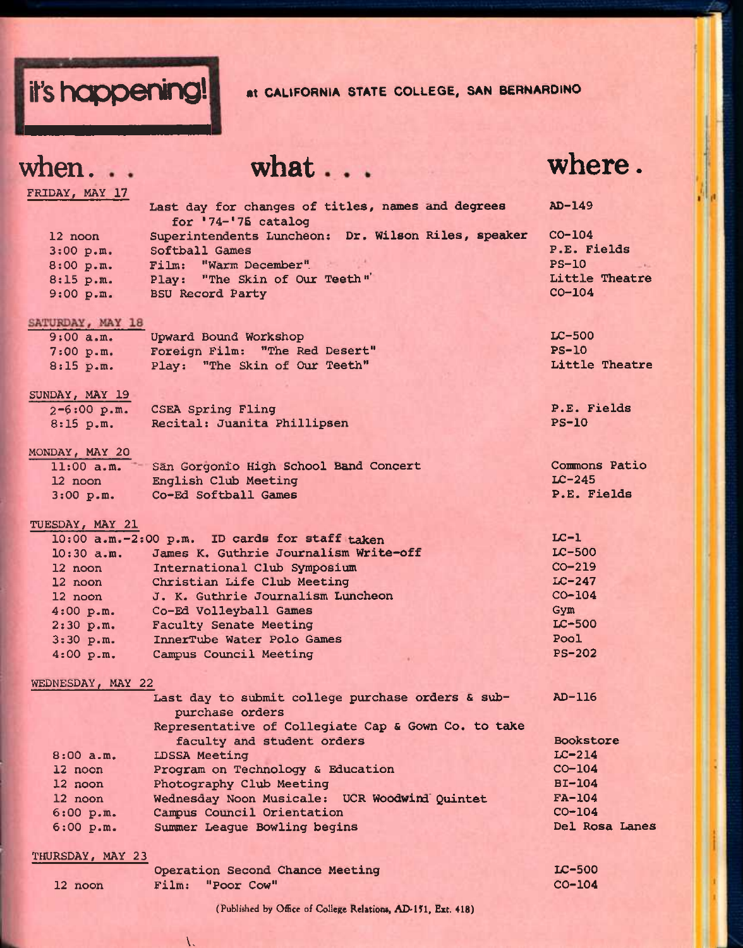

# **when.**

**what** 

## **where.**

| FRIDAY, MAY 17    |                                                                            |                |
|-------------------|----------------------------------------------------------------------------|----------------|
|                   | Last day for changes of titles, names and degrees<br>for $'74-'75$ catalog | $AD-149$       |
| 12 noon           | Superintendents Luncheon: Dr. Wilson Riles, speaker                        | $CO-104$       |
| 3:00 p.m.         | Softball Games                                                             | P.E. Fields    |
| 8:00 p.m.         | Film: "Warm December"                                                      | $PS-10$        |
| 8:15 p.m.         | Play: "The Skin of Our Teeth"                                              | Little Theatre |
| 9:00 p.m.         | <b>BSU Record Party</b>                                                    | $CO-104$       |
| SATURDAY, MAY 18  |                                                                            |                |
| 9:00 a.m.         | Upward Bound Workshop                                                      | $LC-500$       |
| 7:00 p.m.         | Foreign Film: "The Red Desert"                                             | $PS-10$        |
| 8:15 p.m.         | Play: "The Skin of Our Teeth"                                              | Little Theatre |
| SUNDAY, MAY 19    |                                                                            |                |
| $2 - 6:00$ p.m.   | <b>CSEA Spring Fling</b>                                                   | P.E. Fields    |
| 8:15 p.m.         | Recital: Juanita Phillipsen                                                | $PS-10$        |
| MONDAY, MAY 20    |                                                                            |                |
| $11:00$ a.m.      | Sän Gorgonio High School Band Concert                                      | Commons Patio  |
| 12 noon           | English Club Meeting                                                       | $LC-245$       |
| 3:00 p.m.         | Co-Ed Softball Games                                                       | P.E. Fields    |
| TUESDAY, MAY 21   |                                                                            |                |
|                   | 10:00 a.m.-2:00 p.m. ID cards for staff taken                              | $LC-1$         |
| $10:30$ a.m.      | James K. Guthrie Journalism Write-off                                      | $LC-500$       |
| $12$ noon         | International Club Symposium                                               | $CO-219$       |
| 12 noon           | Christian Life Club Meeting                                                | $LC-247$       |
| 12 noon           | J. K. Guthrie Journalism Luncheon                                          | $CO-104$       |
| 4:00 p.m.         | Co-Ed Volleyball Games                                                     | Gym            |
| 2:30 p.m.         | <b>Faculty Senate Meeting</b>                                              | $LC-500$       |
| 3:30 p.m.         | InnerTube Water Polo Games                                                 | Pool           |
| 4:00 p.m.         | Campus Council Meeting                                                     | $PS-202$       |
| WEDNESDAY, MAY 22 |                                                                            |                |
|                   | Last day to submit college purchase orders & sub-<br>purchase orders       | $AD-116$       |
|                   | Representative of Collegiate Cap & Gown Co. to take                        |                |
|                   | faculty and student orders                                                 | Bookstore      |
| $8:00$ a.m.       | <b>LDSSA Meeting</b>                                                       | $LC-214$       |
| 12 noon           | Program on Technology & Education                                          | $CO-104$       |
| 12 noon           | Photography Club Meeting                                                   | $BI-104$       |
| 12 noon           | Wednesday Noon Musicale: UCR Woodwind Quintet                              | $FA-104$       |
| 6:00 p.m.         | Campus Council Orientation                                                 | $CO - 104$     |
| 6:00 p.m.         | Summer League Bowling begins                                               | Del Rosa Lanes |
| THURSDAY, MAY 23  |                                                                            |                |
|                   | Operation Second Chance Meeting                                            | LC-500         |
| 12 noon           | Film:<br>"Poor Cow"                                                        | CO-104         |

(Published by Office of College Relations, AD-151, Ext. 418)

**V,**